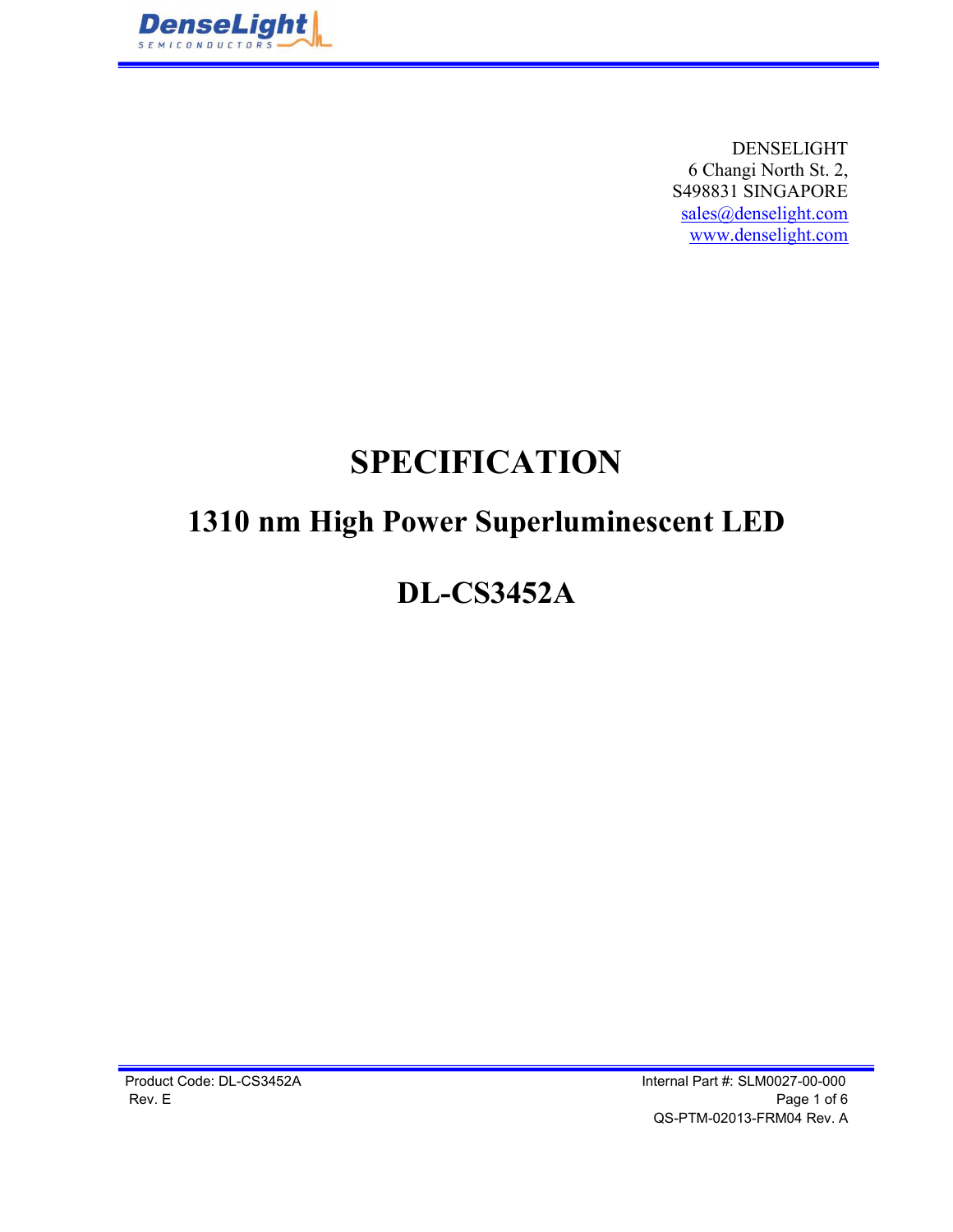

DENSELIGHT 6 Changi North St. 2, S498831 SINGAPORE sales@denselight.com www.denselight.com

# SPECIFICATION

## 1310 nm High Power Superluminescent LED

### DL-CS3452A

Product Code: DL-CS3452A Internal Part #: SLM0027-00-000 Rev. E Page 1 of 6 QS-PTM-02013-FRM04 Rev. A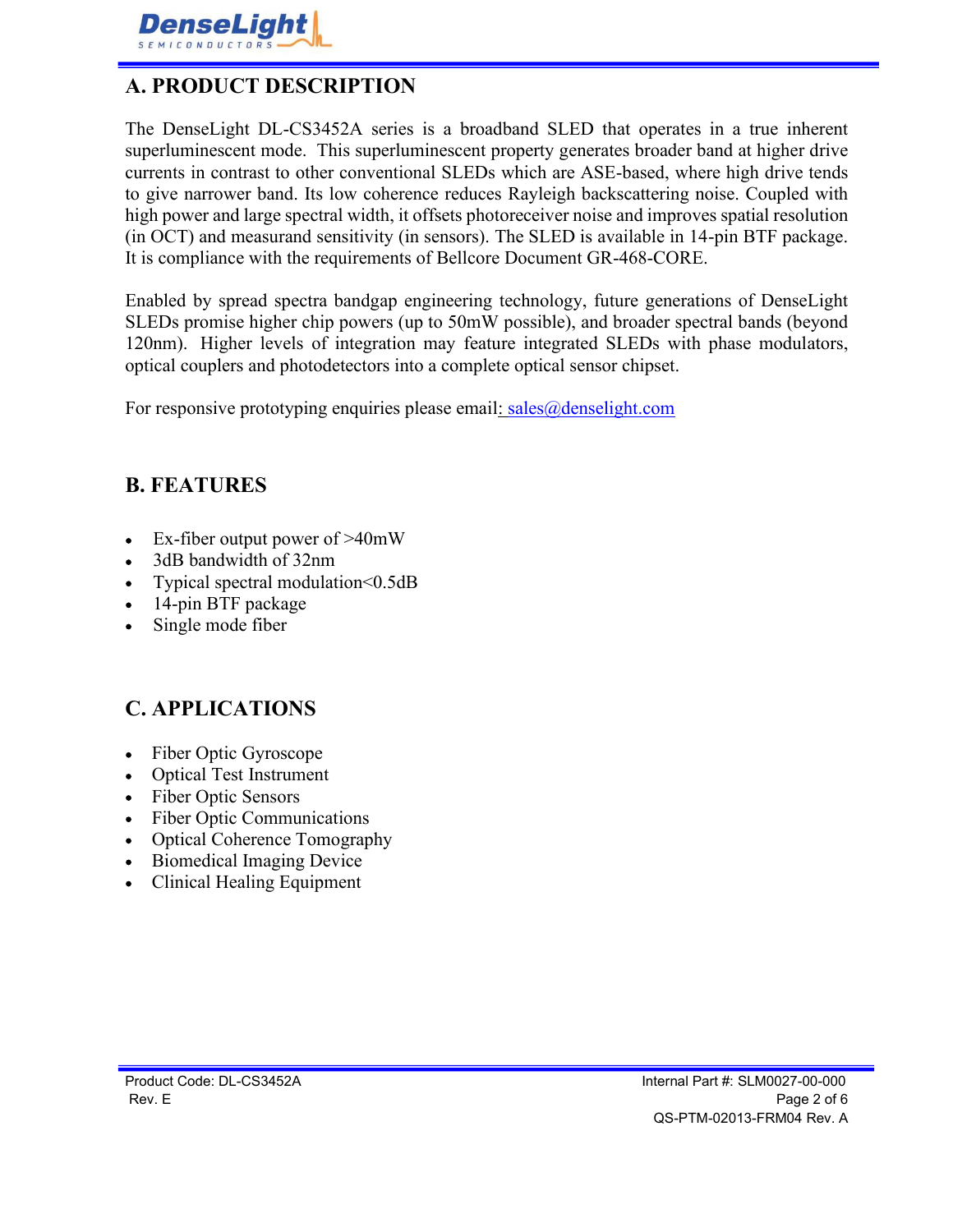

#### A. PRODUCT DESCRIPTION

The DenseLight DL-CS3452A series is a broadband SLED that operates in a true inherent superluminescent mode. This superluminescent property generates broader band at higher drive currents in contrast to other conventional SLEDs which are ASE-based, where high drive tends to give narrower band. Its low coherence reduces Rayleigh backscattering noise. Coupled with high power and large spectral width, it offsets photoreceiver noise and improves spatial resolution (in OCT) and measurand sensitivity (in sensors). The SLED is available in 14-pin BTF package. It is compliance with the requirements of Bellcore Document GR-468-CORE.

Enabled by spread spectra bandgap engineering technology, future generations of DenseLight SLEDs promise higher chip powers (up to 50mW possible), and broader spectral bands (beyond 120nm). Higher levels of integration may feature integrated SLEDs with phase modulators, optical couplers and photodetectors into a complete optical sensor chipset.

For responsive prototyping enquiries please email:  $sales@denselight.com$ 

#### B. FEATURES

- Ex-fiber output power of >40mW  $\bullet$
- 3dB bandwidth of 32nm
- Typical spectral modulation<0.5dB
- 14-pin BTF package
- Single mode fiber

#### C. APPLICATIONS

- Fiber Optic Gyroscope
- Optical Test Instrument
- Fiber Optic Sensors  $\bullet$
- Fiber Optic Communications
- Optical Coherence Tomography
- Biomedical Imaging Device
- Clinical Healing Equipment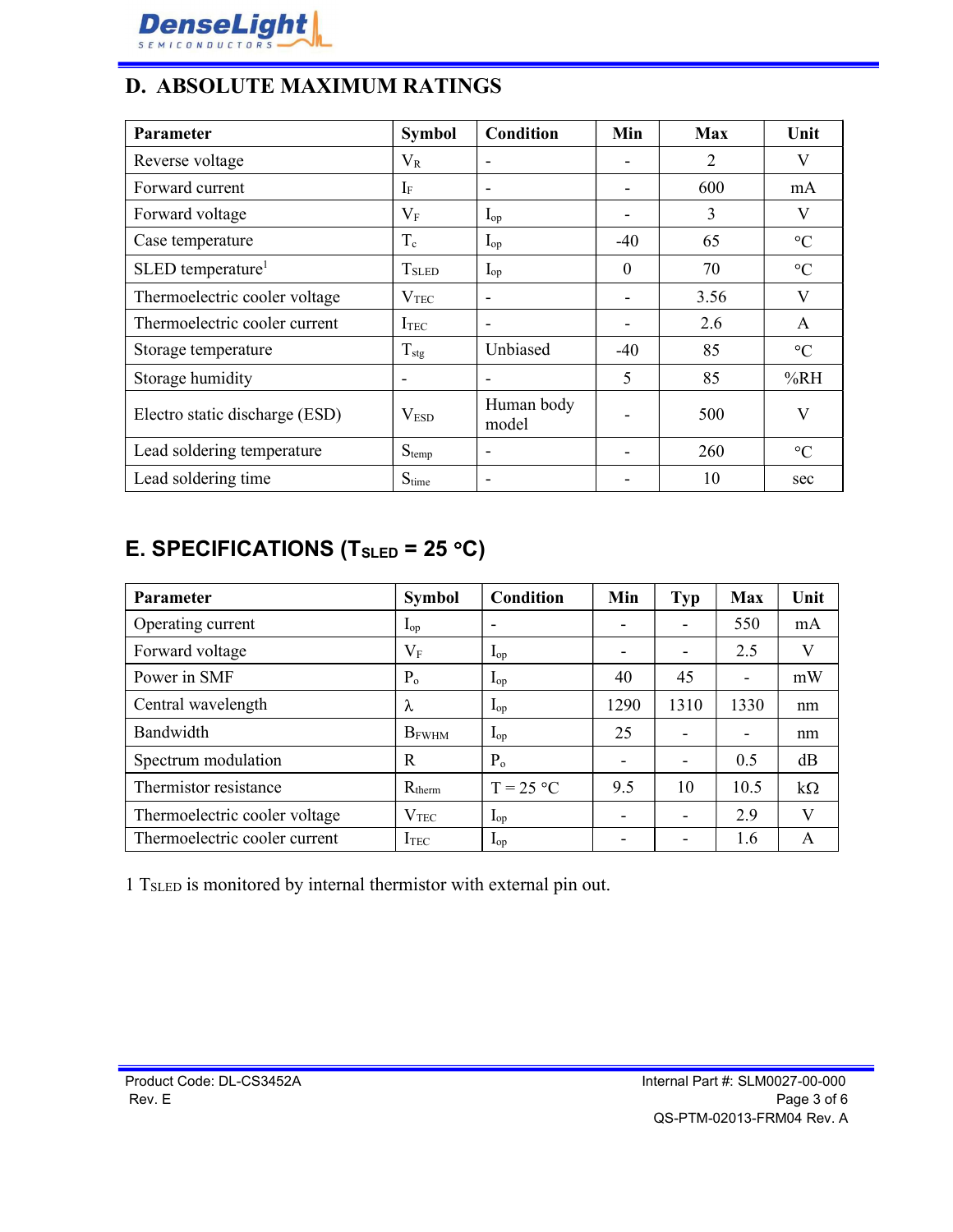

#### D. ABSOLUTE MAXIMUM RATINGS

| Parameter                       | <b>Symbol</b>            | <b>Condition</b>         | Min                      | <b>Max</b> | Unit            |
|---------------------------------|--------------------------|--------------------------|--------------------------|------------|-----------------|
| Reverse voltage                 | $V_{R}$                  | $\overline{\phantom{a}}$ | $\overline{\phantom{a}}$ | 2          | V               |
| Forward current                 | $I_{\rm F}$              | $\overline{\phantom{a}}$ |                          | 600        | mA              |
| Forward voltage                 | $V_{\rm F}$              | $I_{op}$                 |                          | 3          | $\rm V$         |
| Case temperature                | $T_c$                    | $\mathbf{I}_{\text{op}}$ | $-40$                    | 65         | $\rm ^{\circ}C$ |
| $SLED$ temperature <sup>1</sup> | T <sub>SLED</sub>        | $I_{op}$                 | $\mathbf{0}$             | 70         | $\rm ^{\circ}C$ |
| Thermoelectric cooler voltage   | $\rm V_{TEC}$            | $\overline{\phantom{a}}$ |                          | 3.56       | V               |
| Thermoelectric cooler current   | I <sub>TEC</sub>         | $\overline{\phantom{a}}$ |                          | 2.6        | A               |
| Storage temperature             | $T_{\text{stg}}$         | Unbiased                 | $-40$                    | 85         | $\rm ^{\circ}C$ |
| Storage humidity                | $\overline{\phantom{a}}$ | $\overline{\phantom{a}}$ | 5                        | 85         | %RH             |
| Electro static discharge (ESD)  | V <sub>ESD</sub>         | Human body<br>model      |                          | 500        | V               |
| Lead soldering temperature      | $S_{temp}$               | $\overline{\phantom{a}}$ |                          | 260        | $\rm ^{\circ}C$ |
| Lead soldering time             | Stime                    | $\overline{\phantom{a}}$ |                          | 10         | sec             |

### E. SPECIFICATIONS (T<sub>SLED</sub> = 25 °C)

| <b>Parameter</b>              | <b>Symbol</b>            | Condition                | Min                      | <b>Typ</b>               | <b>Max</b>               | Unit         |
|-------------------------------|--------------------------|--------------------------|--------------------------|--------------------------|--------------------------|--------------|
| Operating current             | $\mathbf{L}_{\text{op}}$ | $\overline{\phantom{a}}$ | $\overline{\phantom{0}}$ | $\overline{\phantom{0}}$ | 550                      | mA           |
| Forward voltage               | $V_{\rm F}$              | $\mathbf{I}_{op}$        | $\overline{\phantom{a}}$ | -                        | 2.5                      | V            |
| Power in SMF                  | $P_{o}$                  | $\mathbf{I}_{op}$        | 40                       | 45                       | $\blacksquare$           | mW           |
| Central wavelength            | $\lambda$                | $\mathbf{I}_{\text{op}}$ | 1290                     | 1310                     | 1330                     | nm           |
| Bandwidth                     | $B_{FWHM}$               | $\mathbf{I}_{op}$        | 25                       | $\overline{\phantom{0}}$ | $\overline{\phantom{a}}$ | nm           |
| Spectrum modulation           | R                        | $P_{o}$                  | $\overline{\phantom{a}}$ | -                        | 0.5                      | dB           |
| Thermistor resistance         | $R_{therm}$              | $T = 25 °C$              | 9.5                      | 10                       | 10.5                     | $k\Omega$    |
| Thermoelectric cooler voltage | V <sub>TEC</sub>         | $\mathbf{L}_{op}$        | $\overline{\phantom{a}}$ | -                        | 2.9                      | $\mathbf{V}$ |
| Thermoelectric cooler current | $I_{TEC}$                | $\mathbf{I}_{op}$        | -                        |                          | 1.6                      | A            |

1 TSLED is monitored by internal thermistor with external pin out.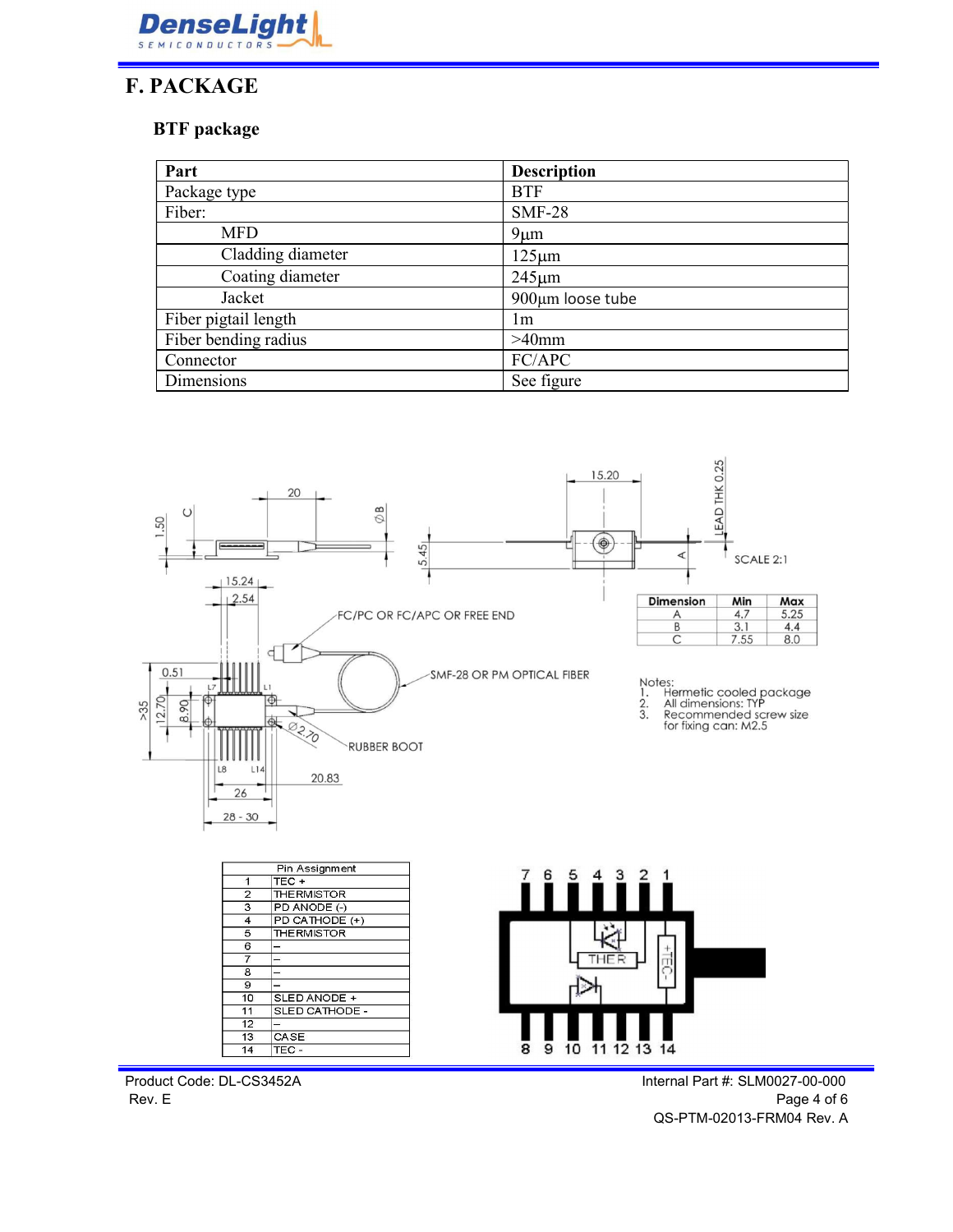

### F. PACKAGE

#### BTF package

| Part                 | <b>Description</b> |  |
|----------------------|--------------------|--|
| Package type         | <b>BTF</b>         |  |
| Fiber:               | <b>SMF-28</b>      |  |
| <b>MFD</b>           | $9 \mu m$          |  |
| Cladding diameter    | $125 \mu m$        |  |
| Coating diameter     | $245 \mu m$        |  |
| Jacket               | 900µm loose tube   |  |
| Fiber pigtail length | lm                 |  |
| Fiber bending radius | $>40$ mm           |  |
| Connector            | FC/APC             |  |
| Dimensions           | See figure         |  |



Product Code: DL-CS3452A Internal Part #: SLM0027-00-000

Rev. E Page 4 of 6 QS-PTM-02013-FRM04 Rev. A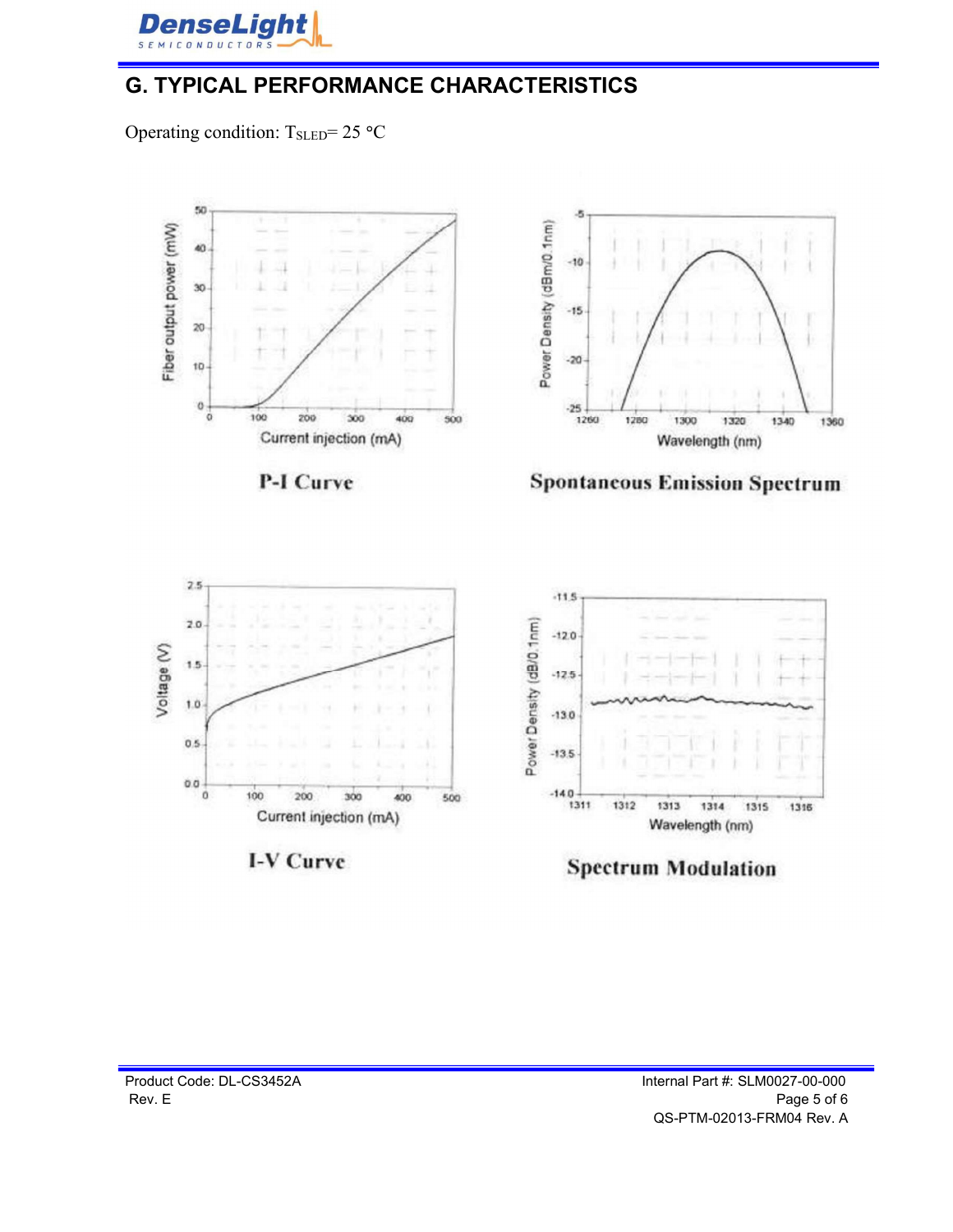

### G. TYPICAL PERFORMANCE CHARACTERISTICS

Operating condition:  $T_{SLED} = 25 °C$ 



P-I Curve







I-V Curve



**Spectrum Modulation**